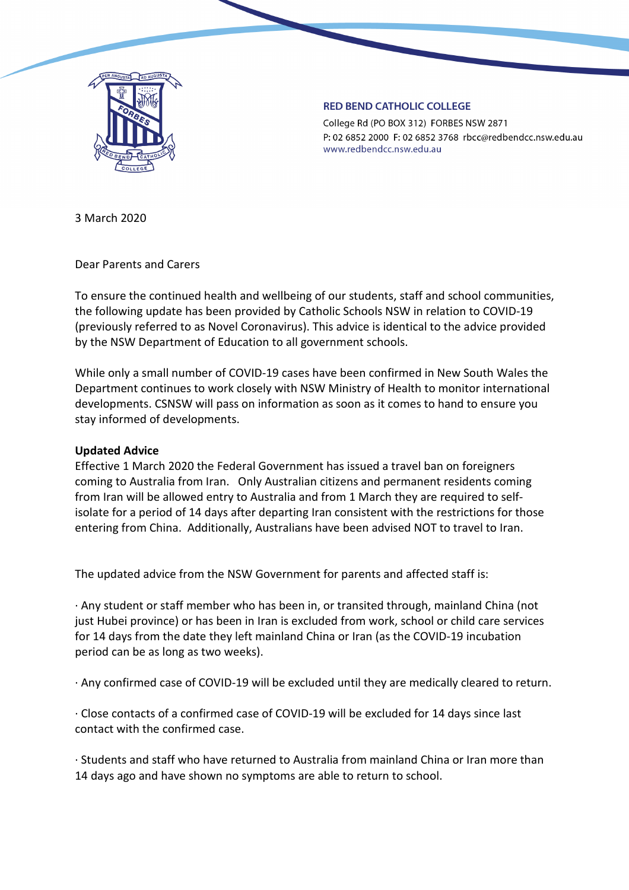

#### **RED BEND CATHOLIC COLLEGE**

College Rd (PO BOX 312) FORBES NSW 2871 P: 02 6852 2000 F: 02 6852 3768 rbcc@redbendcc.nsw.edu.au www.redbendcc.nsw.edu.au

3 March 2020

Dear Parents and Carers

To ensure the continued health and wellbeing of our students, staff and school communities, the following update has been provided by Catholic Schools NSW in relation to COVID-19 (previously referred to as Novel Coronavirus). This advice is identical to the advice provided by the NSW Department of Education to all government schools.

While only a small number of COVID-19 cases have been confirmed in New South Wales the Department continues to work closely with NSW Ministry of Health to monitor international developments. CSNSW will pass on information as soon as it comes to hand to ensure you stay informed of developments.

## **Updated Advice**

Effective 1 March 2020 the Federal Government has issued a travel ban on foreigners coming to Australia from Iran. Only Australian citizens and permanent residents coming from Iran will be allowed entry to Australia and from 1 March they are required to selfisolate for a period of 14 days after departing Iran consistent with the restrictions for those entering from China. Additionally, Australians have been advised NOT to travel to Iran.

The updated advice from the NSW Government for parents and affected staff is:

· Any student or staff member who has been in, or transited through, mainland China (not just Hubei province) or has been in Iran is excluded from work, school or child care services for 14 days from the date they left mainland China or Iran (as the COVID-19 incubation period can be as long as two weeks).

· Any confirmed case of COVID-19 will be excluded until they are medically cleared to return.

· Close contacts of a confirmed case of COVID-19 will be excluded for 14 days since last contact with the confirmed case.

· Students and staff who have returned to Australia from mainland China or Iran more than 14 days ago and have shown no symptoms are able to return to school.